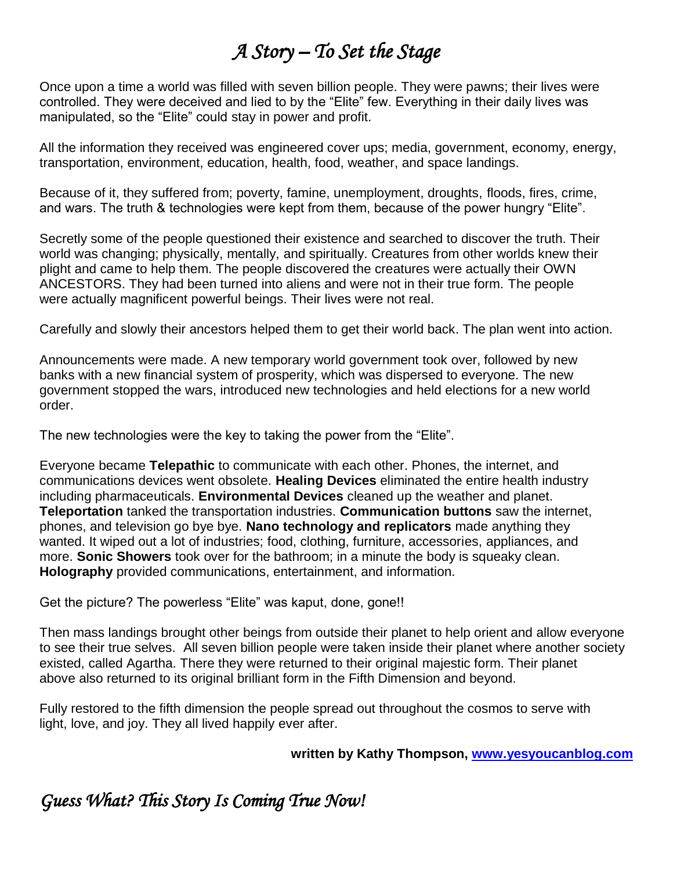# *A Story – To Set the Stage*

Once upon a time a world was filled with seven billion people. They were pawns; their lives were controlled. They were deceived and lied to by the "Elite" few. Everything in their daily lives was manipulated, so the "Elite" could stay in power and profit.

All the information they received was engineered cover ups; media, government, economy, energy, transportation, environment, education, health, food, weather, and space landings.

Because of it, they suffered from; poverty, famine, unemployment, droughts, floods, fires, crime, and wars. The truth & technologies were kept from them, because of the power hungry "Elite".

Secretly some of the people questioned their existence and searched to discover the truth. Their world was changing; physically, mentally, and spiritually. Creatures from other worlds knew their plight and came to help them. The people discovered the creatures were actually their OWN ANCESTORS. They had been turned into aliens and were not in their true form. The people were actually magnificent powerful beings. Their lives were not real.

Carefully and slowly their ancestors helped them to get their world back. The plan went into action.

Announcements were made. A new temporary world government took over, followed by new banks with a new financial system of prosperity, which was dispersed to everyone. The new government stopped the wars, introduced new technologies and held elections for a new world order.

The new technologies were the key to taking the power from the "Elite".

Everyone became **Telepathic** to communicate with each other. Phones, the internet, and communications devices went obsolete. **Healing Devices** eliminated the entire health industry including pharmaceuticals. **Environmental Devices** cleaned up the weather and planet. **Teleportation** tanked the transportation industries. **Communication buttons** saw the internet, phones, and television go bye bye. **Nano technology and replicators** made anything they wanted. It wiped out a lot of industries; food, clothing, furniture, accessories, appliances, and more. **Sonic Showers** took over for the bathroom; in a minute the body is squeaky clean. **Holography** provided communications, entertainment, and information.

Get the picture? The powerless "Elite" was kaput, done, gone!!

Then mass landings brought other beings from outside their planet to help orient and allow everyone to see their true selves. All seven billion people were taken inside their planet where another society existed, called Agartha. There they were returned to their original majestic form. Their planet above also returned to its original brilliant form in the Fifth Dimension and beyond.

Fully restored to the fifth dimension the people spread out throughout the cosmos to serve with light, love, and joy. They all lived happily ever after.

 **written by Kathy Thompson, [www.yesyoucanblog.com](http://www.yesyoucanblog.com/)**

## *Guess What? This Story Is Coming True Now!*